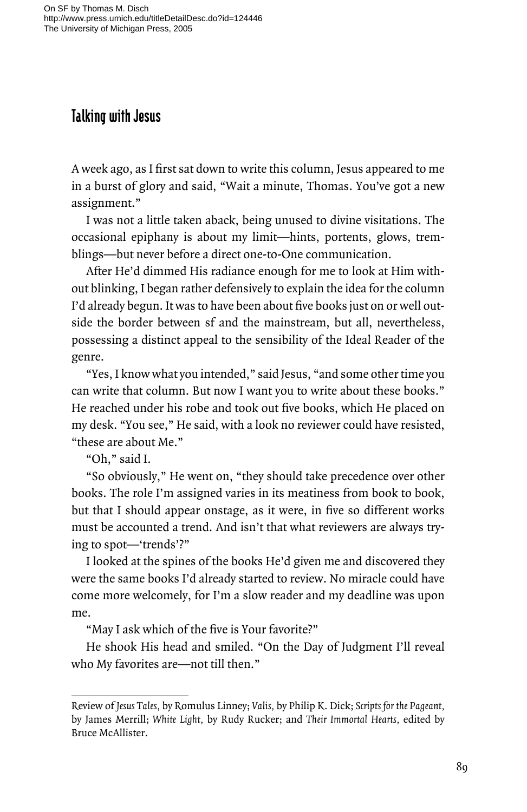## Talking with Jesus

A week ago, as I first sat down to write this column, Jesus appeared to me in a burst of glory and said, "Wait a minute, Thomas. You've got a new assignment."

I was not a little taken aback, being unused to divine visitations. The occasional epiphany is about my limit—hints, portents, glows, tremblings—but never before a direct one-to-One communication.

After He'd dimmed His radiance enough for me to look at Him without blinking, I began rather defensively to explain the idea for the column I'd already begun. It was to have been about five books just on or well outside the border between sf and the mainstream, but all, nevertheless, possessing a distinct appeal to the sensibility of the Ideal Reader of the genre.

"Yes, I know what you intended," said Jesus, "and some other time you can write that column. But now I want you to write about these books." He reached under his robe and took out five books, which He placed on my desk. "You see," He said, with a look no reviewer could have resisted, "these are about Me."

"Oh," said I.

"So obviously," He went on, "they should take precedence over other books. The role I'm assigned varies in its meatiness from book to book, but that I should appear onstage, as it were, in five so different works must be accounted a trend. And isn't that what reviewers are always trying to spot—'trends'?"

I looked at the spines of the books He'd given me and discovered they were the same books I'd already started to review. No miracle could have come more welcomely, for I'm a slow reader and my deadline was upon me.

"May I ask which of the five is Your favorite?"

He shook His head and smiled. "On the Day of Judgment I'll reveal who My favorites are—not till then."

Review of *Jesus Tales,* by Romulus Linney; *Valis,* by Philip K. Dick; *Scripts for the Pageant,* by James Merrill; *White Light,* by Rudy Rucker; and *Their Immortal Hearts,* edited by Bruce McAllister.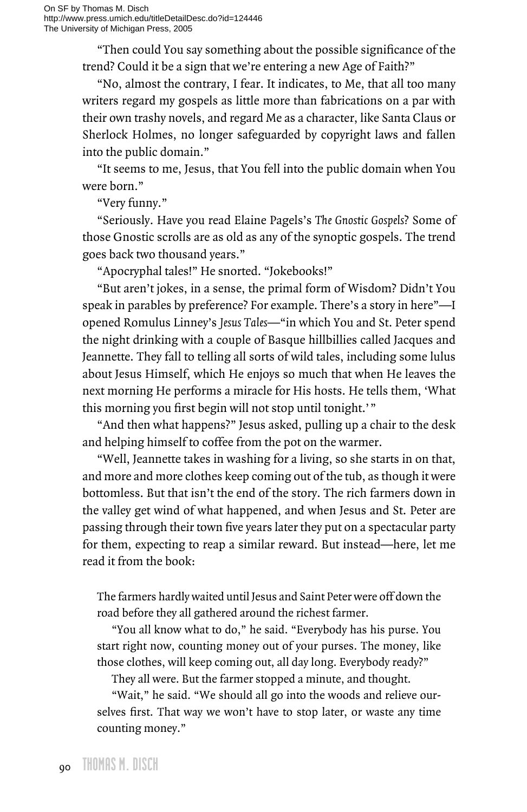"Then could You say something about the possible significance of the trend? Could it be a sign that we're entering a new Age of Faith?"

"No, almost the contrary, I fear. It indicates, to Me, that all too many writers regard my gospels as little more than fabrications on a par with their own trashy novels, and regard Me as a character, like Santa Claus or Sherlock Holmes, no longer safeguarded by copyright laws and fallen into the public domain."

"It seems to me, Jesus, that You fell into the public domain when You were born."

"Very funny."

"Seriously. Have you read Elaine Pagels's *The Gnostic Gospels*? Some of those Gnostic scrolls are as old as any of the synoptic gospels. The trend goes back two thousand years."

"Apocryphal tales!" He snorted. "Jokebooks!"

"But aren't jokes, in a sense, the primal form of Wisdom? Didn't You speak in parables by preference? For example. There's a story in here"—I opened Romulus Linney's *Jesus Tales*—"in which You and St. Peter spend the night drinking with a couple of Basque hillbillies called Jacques and Jeannette. They fall to telling all sorts of wild tales, including some lulus about Jesus Himself, which He enjoys so much that when He leaves the next morning He performs a miracle for His hosts. He tells them, 'What this morning you first begin will not stop until tonight.'"

"And then what happens?" Jesus asked, pulling up a chair to the desk and helping himself to coffee from the pot on the warmer.

"Well, Jeannette takes in washing for a living, so she starts in on that, and more and more clothes keep coming out of the tub, as though it were bottomless. But that isn't the end of the story. The rich farmers down in the valley get wind of what happened, and when Jesus and St. Peter are passing through their town five years later they put on a spectacular party for them, expecting to reap a similar reward. But instead—here, let me read it from the book:

The farmers hardly waited until Jesus and Saint Peter were off down the road before they all gathered around the richest farmer.

"You all know what to do," he said. "Everybody has his purse. You start right now, counting money out of your purses. The money, like those clothes, will keep coming out, all day long. Everybody ready?"

They all were. But the farmer stopped a minute, and thought.

"Wait," he said. "We should all go into the woods and relieve ourselves first. That way we won't have to stop later, or waste any time counting money."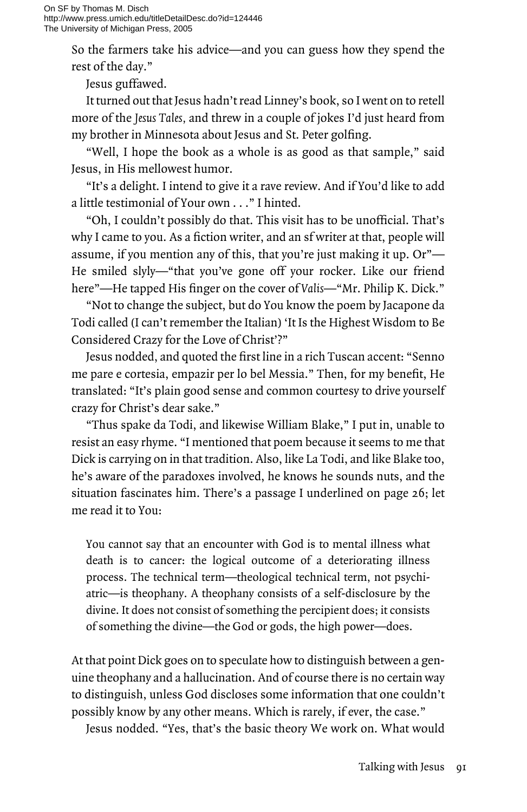So the farmers take his advice—and you can guess how they spend the rest of the day."

Jesus guffawed.

It turned out that Jesus hadn't read Linney's book, so I went on to retell more of the *Jesus Tales,* and threw in a couple of jokes I'd just heard from my brother in Minnesota about Jesus and St. Peter golfing.

"Well, I hope the book as a whole is as good as that sample," said Jesus, in His mellowest humor.

"It's a delight. I intend to give it a rave review. And if You'd like to add a little testimonial of Your own . . ." I hinted.

"Oh, I couldn't possibly do that. This visit has to be unofficial. That's why I came to you. As a fiction writer, and an sf writer at that, people will assume, if you mention any of this, that you're just making it up. Or"— He smiled slyly—"that you've gone off your rocker. Like our friend here"—He tapped His finger on the cover of *Valis*—"Mr. Philip K. Dick."

"Not to change the subject, but do You know the poem by Jacapone da Todi called (I can't remember the Italian) 'It Is the Highest Wisdom to Be Considered Crazy for the Love of Christ'?"

Jesus nodded, and quoted the first line in a rich Tuscan accent: "Senno me pare e cortesia, empazir per lo bel Messia." Then, for my benefit, He translated: "It's plain good sense and common courtesy to drive yourself crazy for Christ's dear sake."

"Thus spake da Todi, and likewise William Blake," I put in, unable to resist an easy rhyme. "I mentioned that poem because it seems to me that Dick is carrying on in that tradition. Also, like La Todi, and like Blake too, he's aware of the paradoxes involved, he knows he sounds nuts, and the situation fascinates him. There's a passage I underlined on page 26; let me read it to You:

You cannot say that an encounter with God is to mental illness what death is to cancer: the logical outcome of a deteriorating illness process. The technical term—theological technical term, not psychiatric—is theophany. A theophany consists of a self-disclosure by the divine. It does not consist of something the percipient does; it consists of something the divine—the God or gods, the high power—does.

At that point Dick goes on to speculate how to distinguish between a genuine theophany and a hallucination. And of course there is no certain way to distinguish, unless God discloses some information that one couldn't possibly know by any other means. Which is rarely, if ever, the case."

Jesus nodded. "Yes, that's the basic theory We work on. What would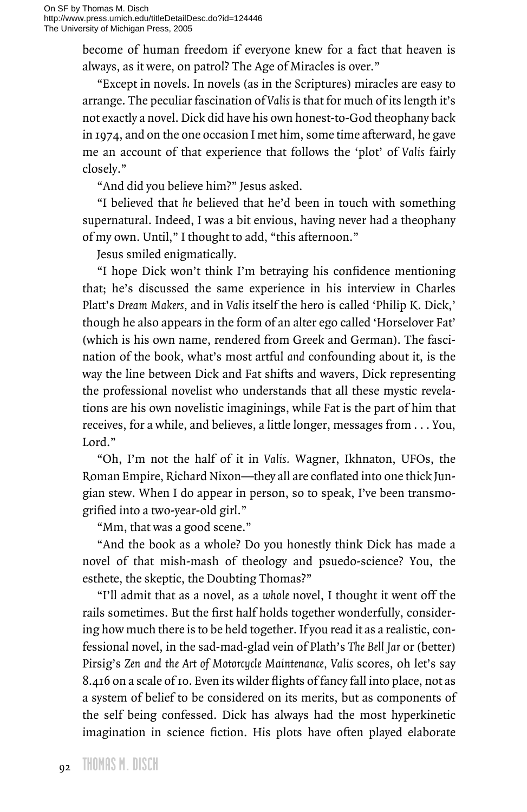become of human freedom if everyone knew for a fact that heaven is always, as it were, on patrol? The Age of Miracles is over."

"Except in novels. In novels (as in the Scriptures) miracles are easy to arrange. The peculiar fascination of *Valis* is that for much of its length it's not exactly a novel. Dick did have his own honest-to-God theophany back in 1974, and on the one occasion I met him, some time afterward, he gave me an account of that experience that follows the 'plot' of *Valis* fairly closely."

"And did you believe him?" Jesus asked.

"I believed that *he* believed that he'd been in touch with something supernatural. Indeed, I was a bit envious, having never had a theophany of my own. Until," I thought to add, "this afternoon."

Jesus smiled enigmatically.

"I hope Dick won't think I'm betraving his confidence mentioning that; he's discussed the same experience in his interview in Charles Platt's *Dream Makers,* and in *Valis* itself the hero is called 'Philip K. Dick,' though he also appears in the form of an alter ego called 'Horselover Fat' (which is his own name, rendered from Greek and German). The fascination of the book, what's most artful *and* confounding about it, is the way the line between Dick and Fat shifts and wavers, Dick representing the professional novelist who understands that all these mystic revelations are his own novelistic imaginings, while Fat is the part of him that receives, for a while, and believes, a little longer, messages from . . . You, Lord."

"Oh, I'm not the half of it in *Valis.* Wagner, Ikhnaton, UFOs, the Roman Empire, Richard Nixon—they all are conflated into one thick Jungian stew. When I do appear in person, so to speak, I've been transmogrified into a two-year-old girl."

"Mm, that was a good scene."

"And the book as a whole? Do you honestly think Dick has made a novel of that mish-mash of theology and psuedo-science? You, the esthete, the skeptic, the Doubting Thomas?"

"I'll admit that as a novel, as a *whole* novel, I thought it went off the rails sometimes. But the first half holds together wonderfully, considering how much there is to be held together. If you read it as a realistic, confessional novel, in the sad-mad-glad vein of Plath's *The Bell Jar* or (better) Pirsig's *Zen and the Art of Motorcycle Maintenance, Valis* scores, oh let's say 8.416 on a scale of 10. Even its wilder flights of fancy fall into place, not as a system of belief to be considered on its merits, but as components of the self being confessed. Dick has always had the most hyperkinetic imagination in science fiction. His plots have often played elaborate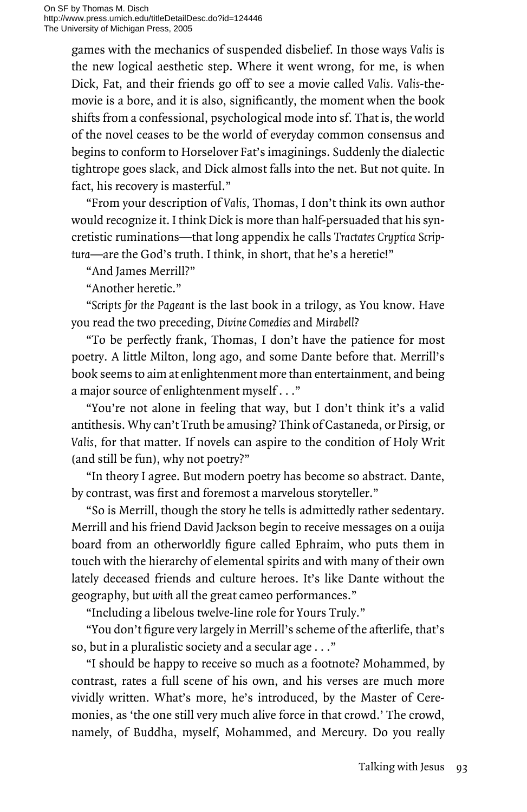games with the mechanics of suspended disbelief. In those ways *Valis* is the new logical aesthetic step. Where it went wrong, for me, is when Dick, Fat, and their friends go off to see a movie called *Valis. Valis*-themovie is a bore, and it is also, significantly, the moment when the book shifts from a confessional, psychological mode into sf. That is, the world of the novel ceases to be the world of everyday common consensus and begins to conform to Horselover Fat's imaginings. Suddenly the dialectic tightrope goes slack, and Dick almost falls into the net. But not quite. In fact, his recovery is masterful."

"From your description of *Valis,* Thomas, I don't think its own author would recognize it. I think Dick is more than half-persuaded that his syncretistic ruminations—that long appendix he calls *Tractates Cryptica Scriptura*—are the God's truth. I think, in short, that he's a heretic!"

"And James Merrill?"

"Another heretic."

"*Scripts for the Pageant* is the last book in a trilogy, as You know. Have you read the two preceding, *Divine Comedies* and *Mirabell*?

"To be perfectly frank, Thomas, I don't have the patience for most poetry. A little Milton, long ago, and some Dante before that. Merrill's book seems to aim at enlightenment more than entertainment, and being a major source of enlightenment myself . . ."

"You're not alone in feeling that way, but I don't think it's a valid antithesis. Why can't Truth be amusing? Think of Castaneda, or Pirsig, or *Valis,* for that matter. If novels can aspire to the condition of Holy Writ (and still be fun), why not poetry?"

"In theory I agree. But modern poetry has become so abstract. Dante, by contrast, was first and foremost a marvelous storyteller."

"So is Merrill, though the story he tells is admittedly rather sedentary. Merrill and his friend David Jackson begin to receive messages on a ouija board from an otherworldly figure called Ephraim, who puts them in touch with the hierarchy of elemental spirits and with many of their own lately deceased friends and culture heroes. It's like Dante without the geography, but *with* all the great cameo performances."

"Including a libelous twelve-line role for Yours Truly."

"You don't figure very largely in Merrill's scheme of the afterlife, that's so, but in a pluralistic society and a secular age . . ."

"I should be happy to receive so much as a footnote? Mohammed, by contrast, rates a full scene of his own, and his verses are much more vividly written. What's more, he's introduced, by the Master of Ceremonies, as 'the one still very much alive force in that crowd.' The crowd, namely, of Buddha, myself, Mohammed, and Mercury. Do you really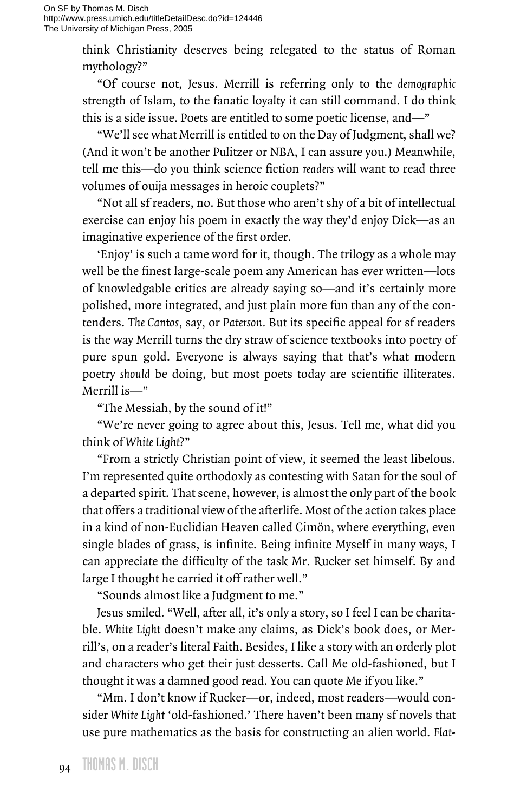think Christianity deserves being relegated to the status of Roman mythology?"

"Of course not, Jesus. Merrill is referring only to the *demographic* strength of Islam, to the fanatic loyalty it can still command. I do think this is a side issue. Poets are entitled to some poetic license, and—"

"We'll see what Merrill is entitled to on the Day of Judgment, shall we? (And it won't be another Pulitzer or NBA, I can assure you.) Meanwhile, tell me this—do you think science fiction *readers* will want to read three volumes of ouija messages in heroic couplets?"

"Not all sf readers, no. But those who aren't shy of a bit of intellectual exercise can enjoy his poem in exactly the way they'd enjoy Dick—as an imaginative experience of the first order.

'Enjoy' is such a tame word for it, though. The trilogy as a whole may well be the finest large-scale poem any American has ever written—lots of knowledgable critics are already saying so—and it's certainly more polished, more integrated, and just plain more fun than any of the contenders. The Cantos, say, or Paterson. But its specific appeal for sf readers is the way Merrill turns the dry straw of science textbooks into poetry of pure spun gold. Everyone is always saying that that's what modern poetry should be doing, but most poets today are scientific illiterates. Merrill is—"

"The Messiah, by the sound of it!"

"We're never going to agree about this, Jesus. Tell me, what did you think of *White Light*?"

"From a strictly Christian point of view, it seemed the least libelous. I'm represented quite orthodoxly as contesting with Satan for the soul of a departed spirit. That scene, however, is almost the only part of the book that offers a traditional view of the afterlife. Most of the action takes place in a kind of non-Euclidian Heaven called Cimön, where everything, even single blades of grass, is infinite. Being infinite Myself in many ways, I can appreciate the difficulty of the task Mr. Rucker set himself. By and large I thought he carried it off rather well."

"Sounds almost like a Judgment to me."

Jesus smiled. "Well, after all, it's only a story, so I feel I can be charitable. *White Light* doesn't make any claims, as Dick's book does, or Merrill's, on a reader's literal Faith. Besides, I like a story with an orderly plot and characters who get their just desserts. Call Me old-fashioned, but I thought it was a damned good read. You can quote Me if you like."

"Mm. I don't know if Rucker—or, indeed, most readers—would consider *White Light* 'old-fashioned.' There haven't been many sf novels that use pure mathematics as the basis for constructing an alien world. *Flat-*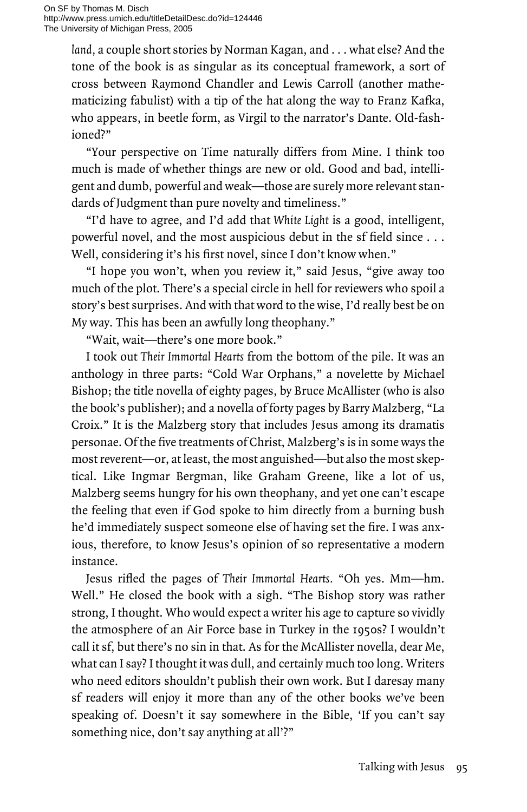*land,* a couple short stories by Norman Kagan, and . . . what else? And the tone of the book is as singular as its conceptual framework, a sort of cross between Raymond Chandler and Lewis Carroll (another mathematicizing fabulist) with a tip of the hat along the way to Franz Kafka, who appears, in beetle form, as Virgil to the narrator's Dante. Old-fashioned?"

"Your perspective on Time naturally differs from Mine. I think too much is made of whether things are new or old. Good and bad, intelligent and dumb, powerful and weak—those are surely more relevant standards of Judgment than pure novelty and timeliness."

"I'd have to agree, and I'd add that *White Light* is a good, intelligent, powerful novel, and the most auspicious debut in the sf field since . . . Well, considering it's his first novel, since I don't know when."

"I hope you won't, when you review it," said Jesus, "give away too much of the plot. There's a special circle in hell for reviewers who spoil a story's best surprises. And with that word to the wise, I'd really best be on My way. This has been an awfully long theophany."

"Wait, wait—there's one more book."

I took out *Their Immortal Hearts* from the bottom of the pile. It was an anthology in three parts: "Cold War Orphans," a novelette by Michael Bishop; the title novella of eighty pages, by Bruce McAllister (who is also the book's publisher); and a novella of forty pages by Barry Malzberg, "La Croix." It is the Malzberg story that includes Jesus among its dramatis personae. Of the five treatments of Christ, Malzberg's is in some ways the most reverent—or, at least, the most anguished—but also the most skeptical. Like Ingmar Bergman, like Graham Greene, like a lot of us, Malzberg seems hungry for his own theophany, and yet one can't escape the feeling that even if God spoke to him directly from a burning bush he'd immediately suspect someone else of having set the fire. I was anxious, therefore, to know Jesus's opinion of so representative a modern instance.

Jesus rifled the pages of Their Immortal Hearts. "Oh yes. Mm-hm. Well." He closed the book with a sigh. "The Bishop story was rather strong, I thought. Who would expect a writer his age to capture so vividly the atmosphere of an Air Force base in Turkey in the 1950s? I wouldn't call it sf, but there's no sin in that. As for the McAllister novella, dear Me, what can I say? I thought it was dull, and certainly much too long. Writers who need editors shouldn't publish their own work. But I daresay many sf readers will enjoy it more than any of the other books we've been speaking of. Doesn't it say somewhere in the Bible, 'If you can't say something nice, don't say anything at all'?"